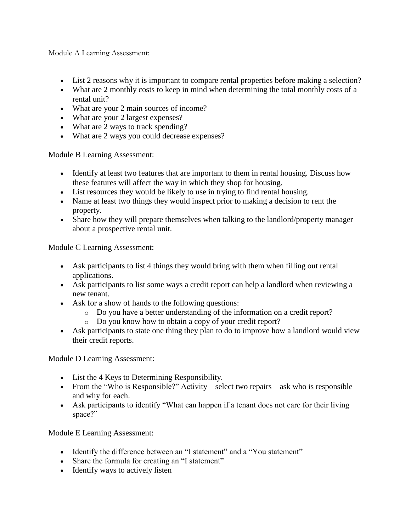Module A Learning Assessment:

- List 2 reasons why it is important to compare rental properties before making a selection?
- What are 2 monthly costs to keep in mind when determining the total monthly costs of a rental unit?
- What are your 2 main sources of income?
- What are your 2 largest expenses?
- What are 2 ways to track spending?
- What are 2 ways you could decrease expenses?

Module B Learning Assessment:

- Identify at least two features that are important to them in rental housing. Discuss how these features will affect the way in which they shop for housing.
- List resources they would be likely to use in trying to find rental housing.
- Name at least two things they would inspect prior to making a decision to rent the property.
- Share how they will prepare themselves when talking to the landlord/property manager about a prospective rental unit.

Module C Learning Assessment:

- Ask participants to list 4 things they would bring with them when filling out rental applications.
- Ask participants to list some ways a credit report can help a landlord when reviewing a new tenant.
- Ask for a show of hands to the following questions:
	- o Do you have a better understanding of the information on a credit report?
	- o Do you know how to obtain a copy of your credit report?
- Ask participants to state one thing they plan to do to improve how a landlord would view their credit reports.

Module D Learning Assessment:

- List the 4 Keys to Determining Responsibility.
- From the "Who is Responsible?" Activity—select two repairs—ask who is responsible and why for each.
- Ask participants to identify "What can happen if a tenant does not care for their living space?"

Module E Learning Assessment:

- Identify the difference between an "I statement" and a "You statement"
- Share the formula for creating an "I statement"
- Identify ways to actively listen